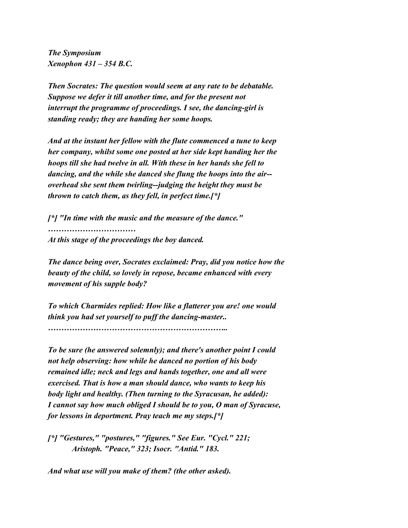*The Symposium Xenophon 431 – 354 B.C.*

*Then Socrates: The question would seem at any rate to be debatable. Suppose we defer it till another time, and for the present not interrupt the programme of proceedings. I see, the dancing-girl is standing ready; they are handing her some hoops.*

*And at the instant her fellow with the flute commenced a tune to keep her company, whilst some one posted at her side kept handing her the hoops till she had twelve in all. With these in her hands she fell to dancing, and the while she danced she flung the hoops into the air- overhead she sent them twirling--judging the height they must be thrown to catch them, as they fell, in perfect time.[\*]*

*[\*] "In time with the music and the measure of the dance." …………………………… At this stage of the proceedings the boy danced.*

*The dance being over, Socrates exclaimed: Pray, did you notice how the beauty of the child, so lovely in repose, became enhanced with every movement of his supple body?*

*To which Charmides replied: How like a flatterer you are! one would think you had set yourself to puff the dancing-master..*

*…………………………………………………………..*

*To be sure (he answered solemnly); and there's another point I could not help observing: how while he danced no portion of his body remained idle; neck and legs and hands together, one and all were exercised. That is how a man should dance, who wants to keep his body light and healthy. (Then turning to the Syracusan, he added): I cannot say how much obliged I should be to you, O man of Syracuse, for lessons in deportment. Pray teach me my steps.[\*]*

*[\*] "Gestures," "postures," "figures." See Eur. "Cycl." 221; Aristoph. "Peace," 323; Isocr. "Antid." 183.*

*And what use will you make of them? (the other asked).*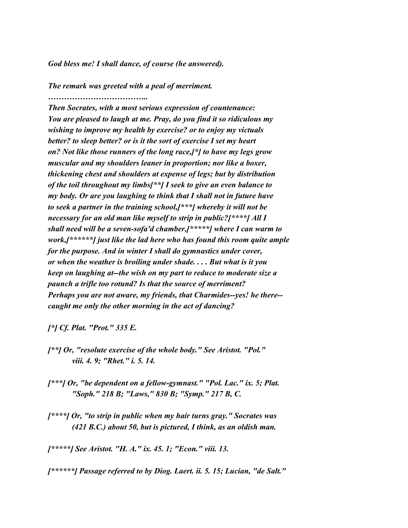*God bless me! I shall dance, of course (he answered).*

*The remark was greeted with a peal of merriment.*

*………………………………..*

*Then Socrates, with a most serious expression of countenance: You are pleased to laugh at me. Pray, do you find it so ridiculous my wishing to improve my health by exercise? or to enjoy my victuals better? to sleep better? or is it the sort of exercise I set my heart on? Not like those runners of the long race,[\*] to have my legs grow muscular and my shoulders leaner in proportion; nor like a boxer, thickening chest and shoulders at expense of legs; but by distribution of the toil throughout my limbs[\*\*] I seek to give an even balance to my body. Or are you laughing to think that I shall not in future have to seek a partner in the training school,[\*\*\*] whereby it will not be necessary for an old man like myself to strip in public?[\*\*\*\*] All I shall need will be a seven-sofa'd chamber,[\*\*\*\*\*] where I can warm to work,[\*\*\*\*\*\*] just like the lad here who has found this room quite ample for the purpose. And in winter I shall do gymnastics under cover, or when the weather is broiling under shade. . . . But what is it you keep on laughing at--the wish on my part to reduce to moderate size a paunch a trifle too rotund? Is that the source of merriment? Perhaps you are not aware, my friends, that Charmides--yes! he there- caught me only the other morning in the act of dancing?*

*[\*] Cf. Plat. "Prot." 335 E.*

- *[\*\*] Or, "resolute exercise of the whole body." See Aristot. "Pol." viii. 4. 9; "Rhet." i. 5. 14.*
- *[\*\*\*] Or, "be dependent on a fellow-gymnast." "Pol. Lac." ix. 5; Plat. "Soph." 218 B; "Laws," 830 B; "Symp." 217 B, C.*
- *[\*\*\*\*] Or, "to strip in public when my hair turns gray." Socrates was (421 B.C.) about 50, but is pictured, I think, as an oldish man.*

*[\*\*\*\*\*] See Aristot. "H. A." ix. 45. 1; "Econ." viii. 13.*

*[\*\*\*\*\*\*] Passage referred to by Diog. Laert. ii. 5. 15; Lucian, "de Salt."*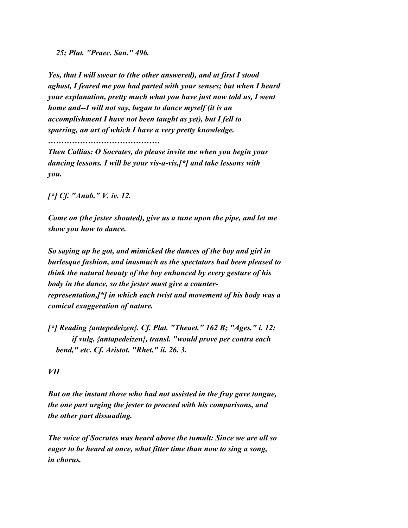*25; Plut. "Praec. San." 496.*

*Yes, that I will swear to (the other answered), and at first I stood aghast, I feared me you had parted with your senses; but when I heard your explanation, pretty much what you have just now told us, I went home and--I will not say, began to dance myself (it is an accomplishment I have not been taught as yet), but I fell to sparring, an art of which I have a very pretty knowledge.*

*……………………………………*

*Then Callias: O Socrates, do please invite me when you begin your dancing lessons. I will be your vis-a-vis,[\*] and take lessons with you.*

*[\*] Cf. "Anab." V. iv. 12.*

*Come on (the jester shouted), give us a tune upon the pipe, and let me show you how to dance.*

*So saying up he got, and mimicked the dances of the boy and girl in burlesque fashion, and inasmuch as the spectators had been pleased to think the natural beauty of the boy enhanced by every gesture of his body in the dance, so the jester must give a counterrepresentation,[\*] in which each twist and movement of his body was a comical exaggeration of nature.*

*[\*] Reading {antepedeizen}. Cf. Plat. "Theaet." 162 B; "Ages." i. 12; if vulg. {antapedeizen}, transl. "would prove per contra each bend," etc. Cf. Aristot. "Rhet." ii. 26. 3.*

## *VII*

*But on the instant those who had not assisted in the fray gave tongue, the one part urging the jester to proceed with his comparisons, and the other part dissuading.*

*The voice of Socrates was heard above the tumult: Since we are all so eager to be heard at once, what fitter time than now to sing a song, in chorus.*